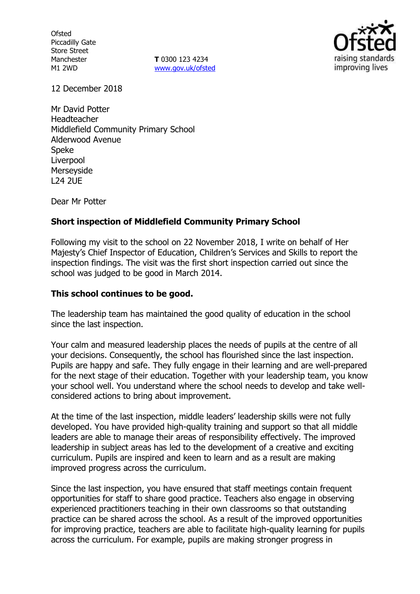**Ofsted** Piccadilly Gate Store Street Manchester M1 2WD

**T** 0300 123 4234 www.gov.uk/ofsted



12 December 2018

Mr David Potter Headteacher Middlefield Community Primary School Alderwood Avenue Speke Liverpool Merseyside L24 2UE

Dear Mr Potter

## **Short inspection of Middlefield Community Primary School**

Following my visit to the school on 22 November 2018, I write on behalf of Her Majesty's Chief Inspector of Education, Children's Services and Skills to report the inspection findings. The visit was the first short inspection carried out since the school was judged to be good in March 2014.

#### **This school continues to be good.**

The leadership team has maintained the good quality of education in the school since the last inspection.

Your calm and measured leadership places the needs of pupils at the centre of all your decisions. Consequently, the school has flourished since the last inspection. Pupils are happy and safe. They fully engage in their learning and are well-prepared for the next stage of their education. Together with your leadership team, you know your school well. You understand where the school needs to develop and take wellconsidered actions to bring about improvement.

At the time of the last inspection, middle leaders' leadership skills were not fully developed. You have provided high-quality training and support so that all middle leaders are able to manage their areas of responsibility effectively. The improved leadership in subject areas has led to the development of a creative and exciting curriculum. Pupils are inspired and keen to learn and as a result are making improved progress across the curriculum.

Since the last inspection, you have ensured that staff meetings contain frequent opportunities for staff to share good practice. Teachers also engage in observing experienced practitioners teaching in their own classrooms so that outstanding practice can be shared across the school. As a result of the improved opportunities for improving practice, teachers are able to facilitate high-quality learning for pupils across the curriculum. For example, pupils are making stronger progress in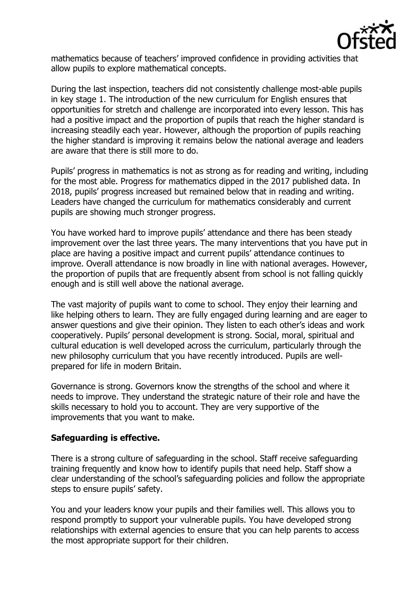

mathematics because of teachers' improved confidence in providing activities that allow pupils to explore mathematical concepts.

During the last inspection, teachers did not consistently challenge most-able pupils in key stage 1. The introduction of the new curriculum for English ensures that opportunities for stretch and challenge are incorporated into every lesson. This has had a positive impact and the proportion of pupils that reach the higher standard is increasing steadily each year. However, although the proportion of pupils reaching the higher standard is improving it remains below the national average and leaders are aware that there is still more to do.

Pupils' progress in mathematics is not as strong as for reading and writing, including for the most able. Progress for mathematics dipped in the 2017 published data. In 2018, pupils' progress increased but remained below that in reading and writing. Leaders have changed the curriculum for mathematics considerably and current pupils are showing much stronger progress.

You have worked hard to improve pupils' attendance and there has been steady improvement over the last three years. The many interventions that you have put in place are having a positive impact and current pupils' attendance continues to improve. Overall attendance is now broadly in line with national averages. However, the proportion of pupils that are frequently absent from school is not falling quickly enough and is still well above the national average.

The vast majority of pupils want to come to school. They enjoy their learning and like helping others to learn. They are fully engaged during learning and are eager to answer questions and give their opinion. They listen to each other's ideas and work cooperatively. Pupils' personal development is strong. Social, moral, spiritual and cultural education is well developed across the curriculum, particularly through the new philosophy curriculum that you have recently introduced. Pupils are wellprepared for life in modern Britain.

Governance is strong. Governors know the strengths of the school and where it needs to improve. They understand the strategic nature of their role and have the skills necessary to hold you to account. They are very supportive of the improvements that you want to make.

# **Safeguarding is effective.**

There is a strong culture of safeguarding in the school. Staff receive safeguarding training frequently and know how to identify pupils that need help. Staff show a clear understanding of the school's safeguarding policies and follow the appropriate steps to ensure pupils' safety.

You and your leaders know your pupils and their families well. This allows you to respond promptly to support your vulnerable pupils. You have developed strong relationships with external agencies to ensure that you can help parents to access the most appropriate support for their children.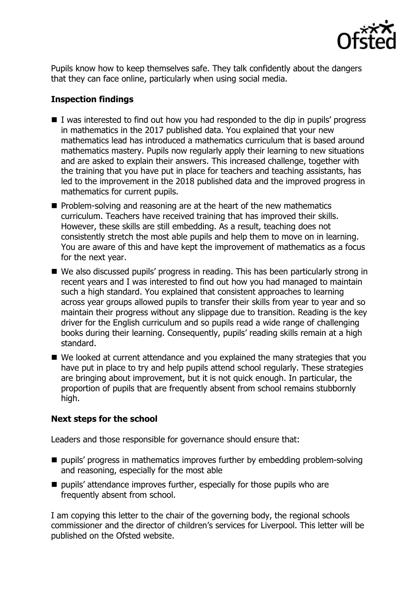

Pupils know how to keep themselves safe. They talk confidently about the dangers that they can face online, particularly when using social media.

# **Inspection findings**

- $\blacksquare$  I was interested to find out how you had responded to the dip in pupils' progress in mathematics in the 2017 published data. You explained that your new mathematics lead has introduced a mathematics curriculum that is based around mathematics mastery. Pupils now regularly apply their learning to new situations and are asked to explain their answers. This increased challenge, together with the training that you have put in place for teachers and teaching assistants, has led to the improvement in the 2018 published data and the improved progress in mathematics for current pupils.
- **Problem-solving and reasoning are at the heart of the new mathematics** curriculum. Teachers have received training that has improved their skills. However, these skills are still embedding. As a result, teaching does not consistently stretch the most able pupils and help them to move on in learning. You are aware of this and have kept the improvement of mathematics as a focus for the next year.
- We also discussed pupils' progress in reading. This has been particularly strong in recent years and I was interested to find out how you had managed to maintain such a high standard. You explained that consistent approaches to learning across year groups allowed pupils to transfer their skills from year to year and so maintain their progress without any slippage due to transition. Reading is the key driver for the English curriculum and so pupils read a wide range of challenging books during their learning. Consequently, pupils' reading skills remain at a high standard.
- We looked at current attendance and you explained the many strategies that you have put in place to try and help pupils attend school regularly. These strategies are bringing about improvement, but it is not quick enough. In particular, the proportion of pupils that are frequently absent from school remains stubbornly high.

# **Next steps for the school**

Leaders and those responsible for governance should ensure that:

- $\blacksquare$  pupils' progress in mathematics improves further by embedding problem-solving and reasoning, especially for the most able
- pupils' attendance improves further, especially for those pupils who are frequently absent from school.

I am copying this letter to the chair of the governing body, the regional schools commissioner and the director of children's services for Liverpool. This letter will be published on the Ofsted website.